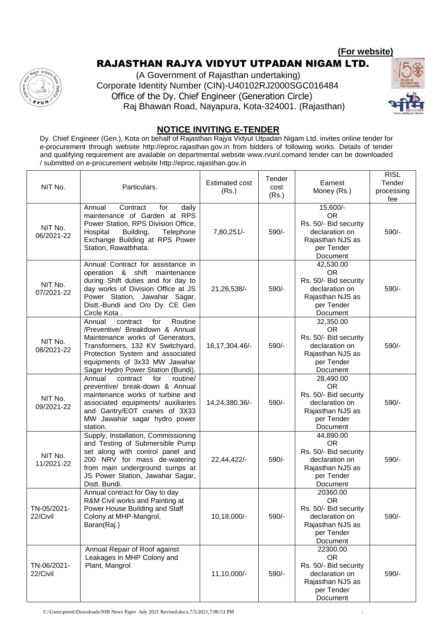**(For website)**

## RAJASTHAN RAJYA VIDYUT UTPADAN NIGAM LTD.

(A Government of Rajasthan undertaking) Corporate Identity Number (CIN)-U40102RJ2000SGC016484 Office of the Dy. Chief Engineer (Generation Circle) Raj Bhawan Road, Nayapura, Kota-324001. (Rajasthan)

तस्



## **NOTICE INVITING E-TENDER**

Dy. Chief Engineer (Gen.), Kota on behalf of Rajasthan Rajya Vidyut Utpadan Nigam Ltd. invites online tender for e-procurement through website http://eproc.rajasthan.gov.in from bidders of following works. Details of tender and qualifying requirement are available on departmental website www.rvunl.comand tender can be downloaded / submitted on e-procurement website http://eproc.rajasthan.gov.in

| NIT No.                 | Particulars.                                                                                                                                                                                                                                               | <b>Estimated cost</b><br>(Rs.) | Tender<br>cost<br>(Rs.) | Earnest<br>Money (Rs.)                                                                                          | <b>RISL</b><br>Tender<br>processing<br>fee |
|-------------------------|------------------------------------------------------------------------------------------------------------------------------------------------------------------------------------------------------------------------------------------------------------|--------------------------------|-------------------------|-----------------------------------------------------------------------------------------------------------------|--------------------------------------------|
| NIT No.<br>06/2021-22   | for<br>Contract<br>Annual<br>daily<br>maintenance of Garden at RPS<br>Power Station, RPS Division Office,<br>Building,<br>Telephone<br>Hospital<br>Exchange Building at RPS Power<br>Station, Rawatbhata.                                                  | 7,80,251/-                     | 590/-                   | 15,600/-<br><b>OR</b><br>Rs. 50/- Bid security<br>declaration on<br>Rajasthan NJS as<br>per Tender<br>Document  | 590/-                                      |
| NIT No.<br>07/2021-22   | Annual Contract for assistance in<br>operation & shift maintenance<br>during Shift duties and for day to<br>day works of Division Office at JS<br>Power Station, Jawahar Sagar,<br>Distt.-Bundi and O/o Dy. CE Gen<br>Circle Kota.                         | 21,26,538/-                    | 590/-                   | 42,530.00<br><b>OR</b><br>Rs. 50/- Bid security<br>declaration on<br>Rajasthan NJS as<br>per Tender<br>Document | 590/-                                      |
| NIT No.<br>08/2021-22   | Annual<br>contract<br>Routine<br>for<br>/Preventive/ Breakdown & Annual<br>Maintenance works of Generators,<br>Transformers, 132 KV Switchyard,<br>Protection System and associated<br>equipments of 3x33 MW Jawahar<br>Sagar Hydro Power Station (Bundi). | 16, 17, 304. 46/-              | 590/-                   | 32,350.00<br><b>OR</b><br>Rs. 50/- Bid security<br>declaration on<br>Rajasthan NJS as<br>per Tender<br>Document | 590/-                                      |
| NIT No.<br>09/2021-22   | Annual<br>contract<br>for<br>routine/<br>preventive/ break-down & Annual<br>maintenance works of turbine and<br>associated equipments/ auxiliaries<br>and Gantry/EOT cranes of 3X33<br>MW Jawahar sagar hydro power<br>station.                            | 14,24,380.36/-                 | 590/-                   | 28,490.00<br><b>OR</b><br>Rs. 50/- Bid security<br>declaration on<br>Rajasthan NJS as<br>per Tender<br>Document | 590/-                                      |
| NIT No.<br>11/2021-22   | Supply, Installation, Commissioning<br>and Testing of Submersible Pump<br>set along with control panel and<br>200 NRV for mass de-watering<br>from main underground sumps at<br>JS Power Station, Jawahar Sagar,<br>Distt. Bundi.                          | 22,44,422/-                    | 590/-                   | 44,890.00<br><b>OR</b><br>Rs. 50/- Bid security<br>declaration on<br>Rajasthan NJS as<br>per Tender<br>Document | 590/-                                      |
| TN-05/2021-<br>22/Civil | Annual contract for Day to day<br>R&M Civil works and Painting at<br>Power House Building and Staff<br>Colony at MHP-Mangrol,<br>Baran(Raj.)                                                                                                               | 10,18,000/-                    | 590/-                   | 20360.00<br><b>OR</b><br>Rs. 50/- Bid security<br>declaration on<br>Rajasthan NJS as<br>per Tender<br>Document  | 590/-                                      |
| TN-06/2021-<br>22/Civil | Annual Repair of Roof against<br>Leakages in MHP Colony and<br>Plant, Mangrol                                                                                                                                                                              | 11,10,000/-                    | 590/-                   | 22300.00<br><b>OR</b><br>Rs. 50/- Bid security<br>declaration on<br>Rajasthan NJS as<br>per Tender<br>Document  | 590/-                                      |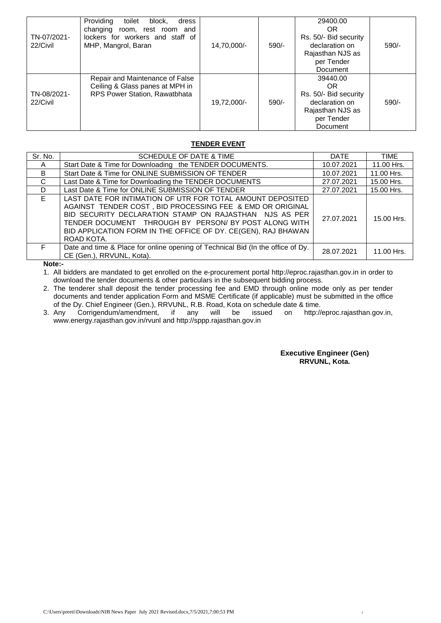| TN-07/2021-<br>22/Civil | Providing<br>block,<br>toilet<br>dress<br>changing<br>room, rest room and<br>lockers for workers and staff of<br>MHP, Mangrol, Baran | 14,70,000/- | $590/-$ | 29400.00<br>OR<br>Rs. 50/- Bid security<br>declaration on<br>Rajasthan NJS as<br>per Tender<br>Document | $590/-$ |
|-------------------------|--------------------------------------------------------------------------------------------------------------------------------------|-------------|---------|---------------------------------------------------------------------------------------------------------|---------|
| TN-08/2021-<br>22/Civil | Repair and Maintenance of False<br>Ceiling & Glass panes at MPH in<br>RPS Power Station, Rawatbhata                                  | 19,72,000/- | $590/-$ | 39440.00<br>OR<br>Rs. 50/- Bid security<br>declaration on<br>Rajasthan NJS as<br>per Tender<br>Document | $590/-$ |

### **TENDER EVENT**

| Sr. No. | SCHEDULE OF DATE & TIME                                                                                                                                                                                                                                                                                                   | <b>DATE</b> | <b>TIME</b> |
|---------|---------------------------------------------------------------------------------------------------------------------------------------------------------------------------------------------------------------------------------------------------------------------------------------------------------------------------|-------------|-------------|
| A       | Start Date & Time for Downloading the TENDER DOCUMENTS.                                                                                                                                                                                                                                                                   | 10.07.2021  | 11.00 Hrs.  |
| B.      | Start Date & Time for ONLINE SUBMISSION OF TENDER                                                                                                                                                                                                                                                                         | 10.07.2021  | 11.00 Hrs.  |
| C       | Last Date & Time for Downloading the TENDER DOCUMENTS                                                                                                                                                                                                                                                                     | 27.07.2021  | 15.00 Hrs.  |
| D       | Last Date & Time for ONLINE SUBMISSION OF TENDER                                                                                                                                                                                                                                                                          | 27.07.2021  | 15.00 Hrs.  |
| F.      | LAST DATE FOR INTIMATION OF UTR FOR TOTAL AMOUNT DEPOSITED<br>AGAINST TENDER COST, BID PROCESSING FEE & EMD OR ORIGINAL<br>BID SECURITY DECLARATION STAMP ON RAJASTHAN NJS AS PER<br>TENDER DOCUMENT THROUGH BY PERSON/ BY POST ALONG WITH<br>BID APPLICATION FORM IN THE OFFICE OF DY. CE(GEN), RAJ BHAWAN<br>ROAD KOTA. | 27.07.2021  | 15.00 Hrs.  |
| F.      | Date and time & Place for online opening of Technical Bid (In the office of Dy.<br>CE (Gen.), RRVUNL, Kota).                                                                                                                                                                                                              | 28.07.2021  | 11.00 Hrs.  |

**Note:-**

1. All bidders are mandated to get enrolled on the e-procurement portal http://eproc.rajasthan.gov.in in order to download the tender documents & other particulars in the subsequent bidding process.

2. The tenderer shall deposit the tender processing fee and EMD through online mode only as per tender documents and tender application Form and MSME Certificate (if applicable) must be submitted in the office of the Dy. Chief Engineer (Gen.), RRVUNL, R.B. Road, Kota on schedule date & time.<br>Any Corrigendum/amendment, if any will be issued on http://eproc.rajasthan.gov.in,

3. Any Corrigendum/amendment, if any will be www.energy.rajasthan.gov.in/rvunl and http://sppp.rajasthan.gov.in

#### **Executive Engineer (Gen) RRVUNL, Kota.**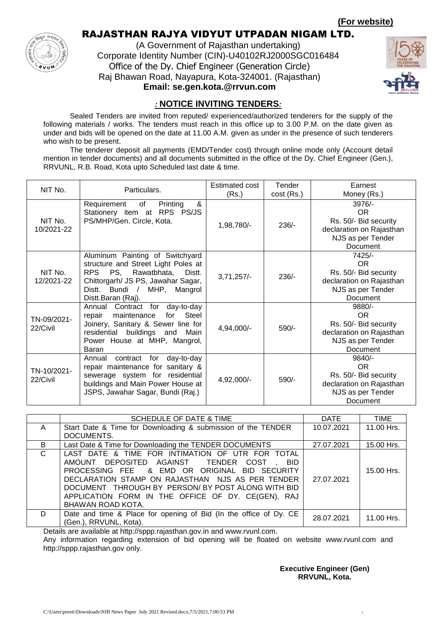**(For website)**



# RAJASTHAN RAJYA VIDYUT UTPADAN NIGAM LTD.

(A Government of Rajasthan undertaking) Corporate Identity Number (CIN)-U40102RJ2000SGC016484 Office of the Dy. Chief Engineer (Generation Circle) Raj Bhawan Road, Nayapura, Kota-324001. (Rajasthan) **Email: se.gen.kota.@rrvun.com**



## *:* **NOTICE INVITING TENDERS***:*

Sealed Tenders are invited from reputed/ experienced/authorized tenderers for the supply of the following materials / works. The tenders must reach in this office up to 3.00 P.M. on the date given as under and bids will be opened on the date at 11.00 A.M. given as under in the presence of such tenderers who wish to be present.

The tenderer deposit all payments (EMD/Tender cost) through online mode only (Account detail mention in tender documents) and all documents submitted in the office of the Dy. Chief Engineer (Gen.), RRVUNL, R.B. Road, Kota upto Scheduled last date & time.

| NIT No.                 | Particulars.                                                                                                                                                                                             | Estimated cost<br>(Rs.) | Tender<br>$cost$ (Rs.) | Earnest<br>Money (Rs.)                                                                                |
|-------------------------|----------------------------------------------------------------------------------------------------------------------------------------------------------------------------------------------------------|-------------------------|------------------------|-------------------------------------------------------------------------------------------------------|
| NIT No.<br>10/2021-22   | &<br>of<br>Printing<br>Requirement<br>Stationery item at RPS PS/JS<br>PS/MHP/Gen. Circle, Kota.                                                                                                          | 1,98,780/-              | $236/-$                | $3976/-$<br>OR.<br>Rs. 50/- Bid security<br>declaration on Rajasthan<br>NJS as per Tender<br>Document |
| NIT No.<br>12/2021-22   | Aluminum Painting of Switchyard<br>structure and Street Light Poles at<br>RPS PS, Rawatbhata,<br>Distt.<br>Chittorgarh/ JS PS, Jawahar Sagar,<br>Bundi /<br>Distt.<br>MHP, Mangrol<br>Distt.Baran (Raj). | $3,71,257/-$            | $236/-$                | 7425/-<br>OR.<br>Rs. 50/- Bid security<br>declaration on Rajasthan<br>NJS as per Tender<br>Document   |
| TN-09/2021-<br>22/Civil | day-to-day<br>Annual<br>Contract<br>for<br>Steel<br>maintenance<br>for<br>repair<br>Joinery, Sanitary & Sewer line for<br>residential buildings and<br>Main<br>Power House at MHP, Mangrol,<br>Baran     | 4,94,000/-              | 590/-                  | 9880/-<br>OR.<br>Rs. 50/- Bid security<br>declaration on Rajasthan<br>NJS as per Tender<br>Document   |
| TN-10/2021-<br>22/Civil | for<br>day-to-day<br>contract<br>Annual<br>repair maintenance for sanitary &<br>sewerage system for residential<br>buildings and Main Power House at<br>JSPS, Jawahar Sagar, Bundi (Raj.)                | 4,92,000/-              | 590/-                  | 9840/-<br>OR.<br>Rs. 50/- Bid security<br>declaration on Rajasthan<br>NJS as per Tender<br>Document   |

|              | <b>SCHEDULE OF DATE &amp; TIME</b>                                                                                                                                                                                                                                                                                                     | <b>DATE</b> | TIME       |
|--------------|----------------------------------------------------------------------------------------------------------------------------------------------------------------------------------------------------------------------------------------------------------------------------------------------------------------------------------------|-------------|------------|
| $\mathsf{A}$ | Start Date & Time for Downloading & submission of the TENDER                                                                                                                                                                                                                                                                           | 10.07.2021  | 11.00 Hrs. |
|              | DOCUMENTS.                                                                                                                                                                                                                                                                                                                             |             |            |
| B            | Last Date & Time for Downloading the TENDER DOCUMENTS                                                                                                                                                                                                                                                                                  | 27.07.2021  | 15.00 Hrs. |
| $\mathsf{C}$ | LAST DATE & TIME FOR INTIMATION OF UTR FOR TOTAL<br>AMOUNT DEPOSITED AGAINST TENDER COST,<br>-BID<br>PROCESSING FEE & EMD OR ORIGINAL BID SECURITY<br>DECLARATION STAMP ON RAJASTHAN NJS AS PER TENDER<br>DOCUMENT THROUGH BY PERSON/BY POST ALONG WITH BID<br>APPLICATION FORM IN THE OFFICE OF DY. CE(GEN), RAJ<br>BHAWAN ROAD KOTA. | 27.07.2021  | 15.00 Hrs. |
| D.           | Date and time & Place for opening of Bid (In the office of Dy. CE<br>(Gen.), RRVUNL, Kota).                                                                                                                                                                                                                                            | 28.07.2021  | 11.00 Hrs. |

Details are available at http://sppp.rajasthan.gov.in and www.rvunl.com.

Any information regarding extension of bid opening will be floated on website www.rvunl.com and http://sppp.rajasthan.gov only.

> **Executive Engineer (Gen) RRVUNL, Kota.**